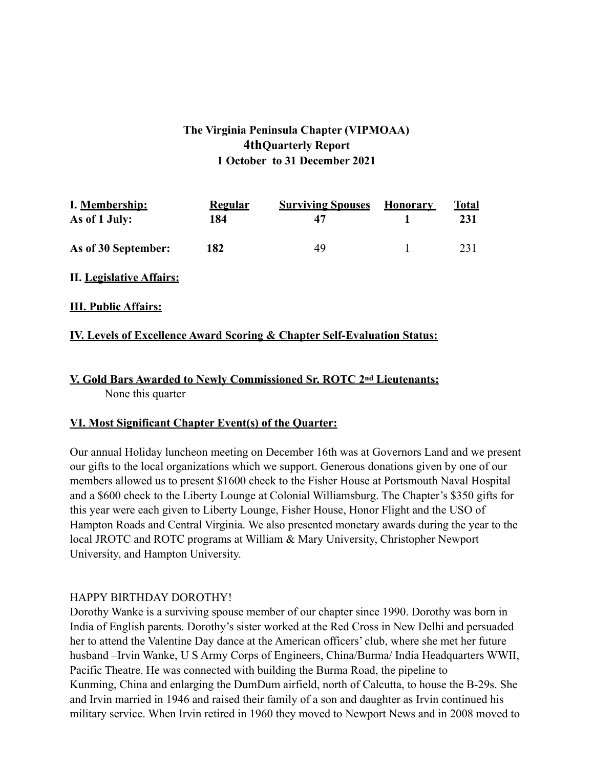## **The Virginia Peninsula Chapter (VIPMOAA) 4thQuarterly Report 1 October to 31 December 2021**

| I. Membership:      | <b>Regular</b> | <b>Surviving Spouses</b> | <b>Honorary</b> | Total |
|---------------------|----------------|--------------------------|-----------------|-------|
| As of 1 July:       | 184            | 47                       |                 | 231   |
| As of 30 September: | 182            | 49                       |                 | 231   |

**II. Legislative Affairs:**

**III. Public Affairs:**

### **IV. Levels of Excellence Award Scoring & Chapter Self-Evaluation Status:**

# **V. Gold Bars Awarded to Newly Commissioned Sr. ROTC 2nd Lieutenants:**

None this quarter

### **VI. Most Significant Chapter Event(s) of the Quarter:**

Our annual Holiday luncheon meeting on December 16th was at Governors Land and we present our gifts to the local organizations which we support. Generous donations given by one of our members allowed us to present \$1600 check to the Fisher House at Portsmouth Naval Hospital and a \$600 check to the Liberty Lounge at Colonial Williamsburg. The Chapter's \$350 gifts for this year were each given to Liberty Lounge, Fisher House, Honor Flight and the USO of Hampton Roads and Central Virginia. We also presented monetary awards during the year to the local JROTC and ROTC programs at William & Mary University, Christopher Newport University, and Hampton University.

### HAPPY BIRTHDAY DOROTHY!

Dorothy Wanke is a surviving spouse member of our chapter since 1990. Dorothy was born in India of English parents. Dorothy's sister worked at the Red Cross in New Delhi and persuaded her to attend the Valentine Day dance at the American officers' club, where she met her future husband –Irvin Wanke, U S Army Corps of Engineers, China/Burma/ India Headquarters WWII, Pacific Theatre. He was connected with building the Burma Road, the pipeline to Kunming, China and enlarging the DumDum airfield, north of Calcutta, to house the B-29s. She and Irvin married in 1946 and raised their family of a son and daughter as Irvin continued his military service. When Irvin retired in 1960 they moved to Newport News and in 2008 moved to